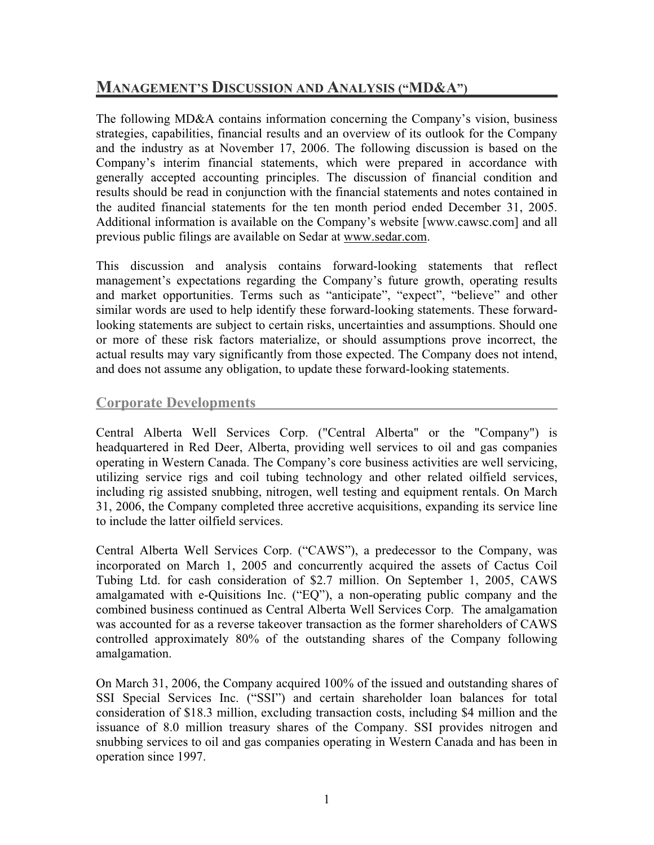# **MANAGEMENT'S DISCUSSION AND ANALYSIS ("MD&A")**

The following MD&A contains information concerning the Company's vision, business strategies, capabilities, financial results and an overview of its outlook for the Company and the industry as at November 17, 2006. The following discussion is based on the Company's interim financial statements, which were prepared in accordance with generally accepted accounting principles. The discussion of financial condition and results should be read in conjunction with the financial statements and notes contained in the audited financial statements for the ten month period ended December 31, 2005. Additional information is available on the Company's website [www.cawsc.com] and all previous public filings are available on Sedar at www.sedar.com.

This discussion and analysis contains forward-looking statements that reflect management's expectations regarding the Company's future growth, operating results and market opportunities. Terms such as "anticipate", "expect", "believe" and other similar words are used to help identify these forward-looking statements. These forwardlooking statements are subject to certain risks, uncertainties and assumptions. Should one or more of these risk factors materialize, or should assumptions prove incorrect, the actual results may vary significantly from those expected. The Company does not intend, and does not assume any obligation, to update these forward-looking statements.

### **Corporate Developments**

Central Alberta Well Services Corp. ("Central Alberta" or the "Company") is headquartered in Red Deer, Alberta, providing well services to oil and gas companies operating in Western Canada. The Company's core business activities are well servicing, utilizing service rigs and coil tubing technology and other related oilfield services, including rig assisted snubbing, nitrogen, well testing and equipment rentals. On March 31, 2006, the Company completed three accretive acquisitions, expanding its service line to include the latter oilfield services.

Central Alberta Well Services Corp. ("CAWS"), a predecessor to the Company, was incorporated on March 1, 2005 and concurrently acquired the assets of Cactus Coil Tubing Ltd. for cash consideration of \$2.7 million. On September 1, 2005, CAWS amalgamated with e-Quisitions Inc. ("EQ"), a non-operating public company and the combined business continued as Central Alberta Well Services Corp. The amalgamation was accounted for as a reverse takeover transaction as the former shareholders of CAWS controlled approximately 80% of the outstanding shares of the Company following amalgamation.

On March 31, 2006, the Company acquired 100% of the issued and outstanding shares of SSI Special Services Inc. ("SSI") and certain shareholder loan balances for total consideration of \$18.3 million, excluding transaction costs, including \$4 million and the issuance of 8.0 million treasury shares of the Company. SSI provides nitrogen and snubbing services to oil and gas companies operating in Western Canada and has been in operation since 1997.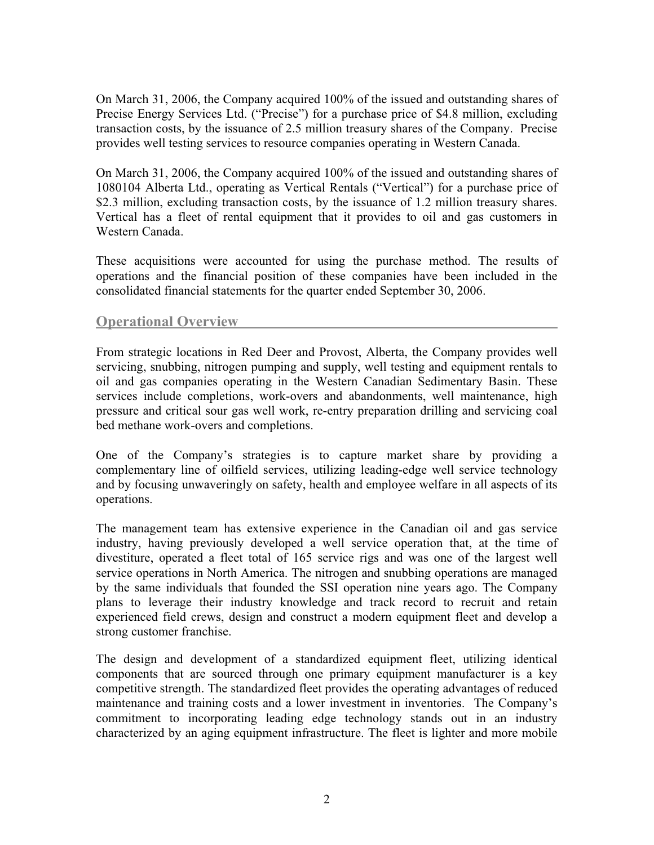On March 31, 2006, the Company acquired 100% of the issued and outstanding shares of Precise Energy Services Ltd. ("Precise") for a purchase price of \$4.8 million, excluding transaction costs, by the issuance of 2.5 million treasury shares of the Company. Precise provides well testing services to resource companies operating in Western Canada.

On March 31, 2006, the Company acquired 100% of the issued and outstanding shares of 1080104 Alberta Ltd., operating as Vertical Rentals ("Vertical") for a purchase price of \$2.3 million, excluding transaction costs, by the issuance of 1.2 million treasury shares. Vertical has a fleet of rental equipment that it provides to oil and gas customers in Western Canada.

These acquisitions were accounted for using the purchase method. The results of operations and the financial position of these companies have been included in the consolidated financial statements for the quarter ended September 30, 2006.

### **Operational Overview**

From strategic locations in Red Deer and Provost, Alberta, the Company provides well servicing, snubbing, nitrogen pumping and supply, well testing and equipment rentals to oil and gas companies operating in the Western Canadian Sedimentary Basin. These services include completions, work-overs and abandonments, well maintenance, high pressure and critical sour gas well work, re-entry preparation drilling and servicing coal bed methane work-overs and completions.

One of the Company's strategies is to capture market share by providing a complementary line of oilfield services, utilizing leading-edge well service technology and by focusing unwaveringly on safety, health and employee welfare in all aspects of its operations.

The management team has extensive experience in the Canadian oil and gas service industry, having previously developed a well service operation that, at the time of divestiture, operated a fleet total of 165 service rigs and was one of the largest well service operations in North America. The nitrogen and snubbing operations are managed by the same individuals that founded the SSI operation nine years ago. The Company plans to leverage their industry knowledge and track record to recruit and retain experienced field crews, design and construct a modern equipment fleet and develop a strong customer franchise.

The design and development of a standardized equipment fleet, utilizing identical components that are sourced through one primary equipment manufacturer is a key competitive strength. The standardized fleet provides the operating advantages of reduced maintenance and training costs and a lower investment in inventories. The Company's commitment to incorporating leading edge technology stands out in an industry characterized by an aging equipment infrastructure. The fleet is lighter and more mobile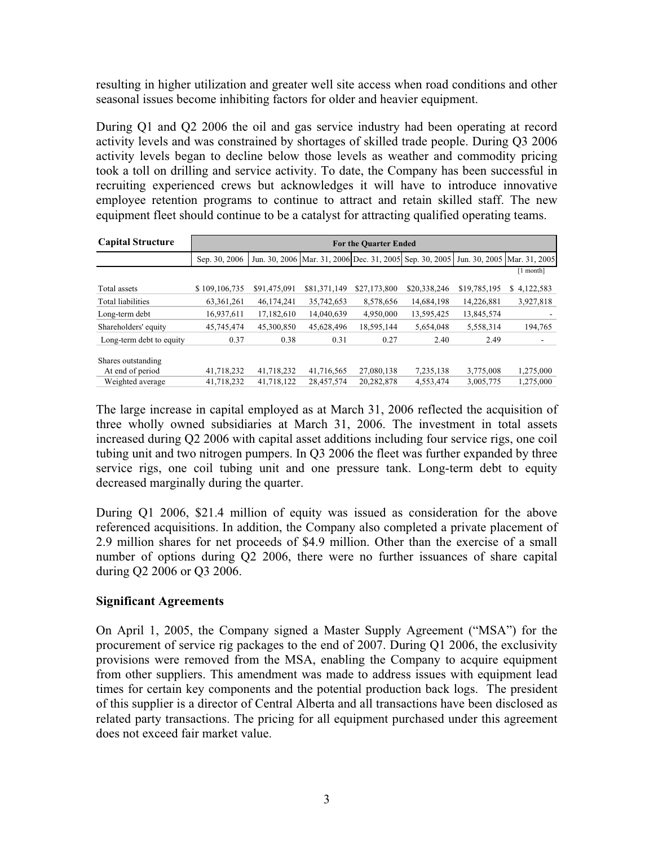resulting in higher utilization and greater well site access when road conditions and other seasonal issues become inhibiting factors for older and heavier equipment.

During Q1 and Q2 2006 the oil and gas service industry had been operating at record activity levels and was constrained by shortages of skilled trade people. During Q3 2006 activity levels began to decline below those levels as weather and commodity pricing took a toll on drilling and service activity. To date, the Company has been successful in recruiting experienced crews but acknowledges it will have to introduce innovative employee retention programs to continue to attract and retain skilled staff. The new equipment fleet should continue to be a catalyst for attracting qualified operating teams.

| <b>Capital Structure</b> | <b>For the Quarter Ended</b> |              |              |                                                         |              |              |                             |  |  |  |  |
|--------------------------|------------------------------|--------------|--------------|---------------------------------------------------------|--------------|--------------|-----------------------------|--|--|--|--|
|                          | Sep. 30, 2006                |              |              | Jun. 30, 2006 Mar. 31, 2006 Dec. 31, 2005 Sep. 30, 2005 |              |              | Jun. 30, 2005 Mar. 31, 2005 |  |  |  |  |
|                          |                              |              |              |                                                         |              |              | $[1$ month]                 |  |  |  |  |
| Total assets             | \$109,106,735                | \$91,475,091 | \$81,371,149 | \$27,173,800                                            | \$20,338,246 | \$19,785,195 | 4,122,583<br>S              |  |  |  |  |
| Total liabilities        | 63, 361, 261                 | 46,174,241   | 35,742,653   | 8,578,656                                               | 14,684,198   | 14,226,881   | 3,927,818                   |  |  |  |  |
| Long-term debt           | 16,937,611                   | 17,182,610   | 14,040,639   | 4,950,000                                               | 13,595,425   | 13,845,574   |                             |  |  |  |  |
| Shareholders' equity     | 45,745,474                   | 45,300,850   | 45,628,496   | 18,595,144                                              | 5,654,048    | 5,558,314    | 194,765                     |  |  |  |  |
| Long-term debt to equity | 0.37                         | 0.38         | 0.31         | 0.27                                                    | 2.40         | 2.49         |                             |  |  |  |  |
| Shares outstanding       |                              |              |              |                                                         |              |              |                             |  |  |  |  |
| At end of period         | 41,718,232                   | 41,718,232   | 41,716,565   | 27,080,138                                              | 7,235,138    | 3,775,008    | 1,275,000                   |  |  |  |  |
| Weighted average         | 41,718,232                   | 41,718,122   | 28,457,574   | 20,282,878                                              | 4,553,474    | 3,005,775    | 1,275,000                   |  |  |  |  |

The large increase in capital employed as at March 31, 2006 reflected the acquisition of three wholly owned subsidiaries at March 31, 2006. The investment in total assets increased during Q2 2006 with capital asset additions including four service rigs, one coil tubing unit and two nitrogen pumpers. In Q3 2006 the fleet was further expanded by three service rigs, one coil tubing unit and one pressure tank. Long-term debt to equity decreased marginally during the quarter.

During Q1 2006, \$21.4 million of equity was issued as consideration for the above referenced acquisitions. In addition, the Company also completed a private placement of 2.9 million shares for net proceeds of \$4.9 million. Other than the exercise of a small number of options during Q2 2006, there were no further issuances of share capital during Q2 2006 or Q3 2006.

#### **Significant Agreements**

On April 1, 2005, the Company signed a Master Supply Agreement ("MSA") for the procurement of service rig packages to the end of 2007. During Q1 2006, the exclusivity provisions were removed from the MSA, enabling the Company to acquire equipment from other suppliers. This amendment was made to address issues with equipment lead times for certain key components and the potential production back logs. The president of this supplier is a director of Central Alberta and all transactions have been disclosed as related party transactions. The pricing for all equipment purchased under this agreement does not exceed fair market value.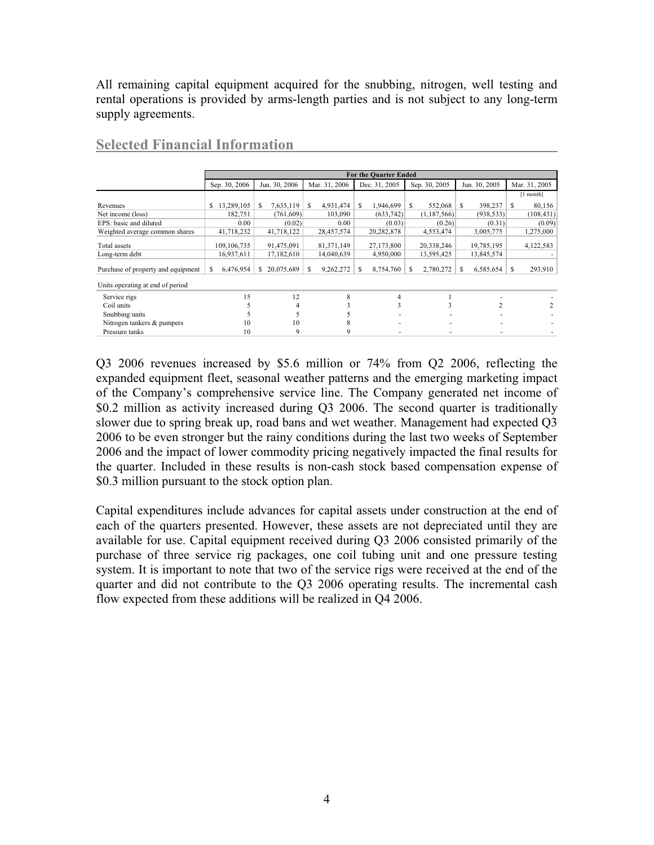All remaining capital equipment acquired for the snubbing, nitrogen, well testing and rental operations is provided by arms-length parties and is not subject to any long-term supply agreements.

|                                    | <b>For the Quarter Ended</b> |                  |                 |                |                |                 |               |  |  |  |
|------------------------------------|------------------------------|------------------|-----------------|----------------|----------------|-----------------|---------------|--|--|--|
|                                    | Sep. 30, 2006                | Jun. 30, 2006    | Mar. 31, 2006   | Dec. 31, 2005  | Sep. 30, 2005  | Jun. 30, 2005   | Mar. 31, 2005 |  |  |  |
|                                    |                              |                  |                 |                |                |                 | $[1$ month]   |  |  |  |
| Revenues                           | 13,289,105<br>S.             | 7,635,119        | 4,931,474<br>S. | 1,946,699<br>S | 552,068<br>S   | 398,237<br>S    | 80,156<br>-S  |  |  |  |
| Net income (loss)                  | 182,751                      | (761,609)        | 103,090         | (633, 742)     | (1,187,566)    | (938, 533)      | (108, 431)    |  |  |  |
| EPS: basic and diluted             | 0.00                         | (0.02)           | 0.00            | (0.03)         | (0.26)         | (0.31)          | (0.09)        |  |  |  |
| Weighted average common shares     | 41,718,232                   | 41,718,122       | 28,457,574      | 20,282,878     | 4,553,474      | 3,005,775       | 1,275,000     |  |  |  |
| Total assets                       | 109, 106, 735                | 91,475,091       | 81, 371, 149    | 27,173,800     | 20,338,246     | 19,785,195      | 4,122,583     |  |  |  |
| Long-term debt                     | 16,937,611                   | 17,182,610       | 14,040,639      | 4,950,000      | 13,595,425     | 13,845,574      |               |  |  |  |
| Purchase of property and equipment | 6,476,954<br>\$              | 20,075,689<br>S. | 9,262,272<br>S. | 8,754,760<br>S | 2,780,272<br>S | 6,585,654<br>-S | 293,910<br>-S |  |  |  |
| Units operating at end of period   |                              |                  |                 |                |                |                 |               |  |  |  |
| Service rigs                       | 15                           | 12               | 8               | 4              |                |                 |               |  |  |  |
| Coil units                         |                              | 4                |                 | 3              | 3              |                 | 2             |  |  |  |
| Snubbing units                     |                              | 5.               |                 |                |                |                 |               |  |  |  |
| Nitrogen tankers & pumpers         | 10                           | 10               | х               |                |                |                 |               |  |  |  |
| Pressure tanks                     | 10                           | 9                | 9               |                |                |                 |               |  |  |  |

#### **Selected Financial Information**

Q3 2006 revenues increased by \$5.6 million or 74% from Q2 2006, reflecting the expanded equipment fleet, seasonal weather patterns and the emerging marketing impact of the Company's comprehensive service line. The Company generated net income of \$0.2 million as activity increased during Q3 2006. The second quarter is traditionally slower due to spring break up, road bans and wet weather. Management had expected Q3 2006 to be even stronger but the rainy conditions during the last two weeks of September 2006 and the impact of lower commodity pricing negatively impacted the final results for the quarter. Included in these results is non-cash stock based compensation expense of \$0.3 million pursuant to the stock option plan.

Capital expenditures include advances for capital assets under construction at the end of each of the quarters presented. However, these assets are not depreciated until they are available for use. Capital equipment received during Q3 2006 consisted primarily of the purchase of three service rig packages, one coil tubing unit and one pressure testing system. It is important to note that two of the service rigs were received at the end of the quarter and did not contribute to the Q3 2006 operating results. The incremental cash flow expected from these additions will be realized in Q4 2006.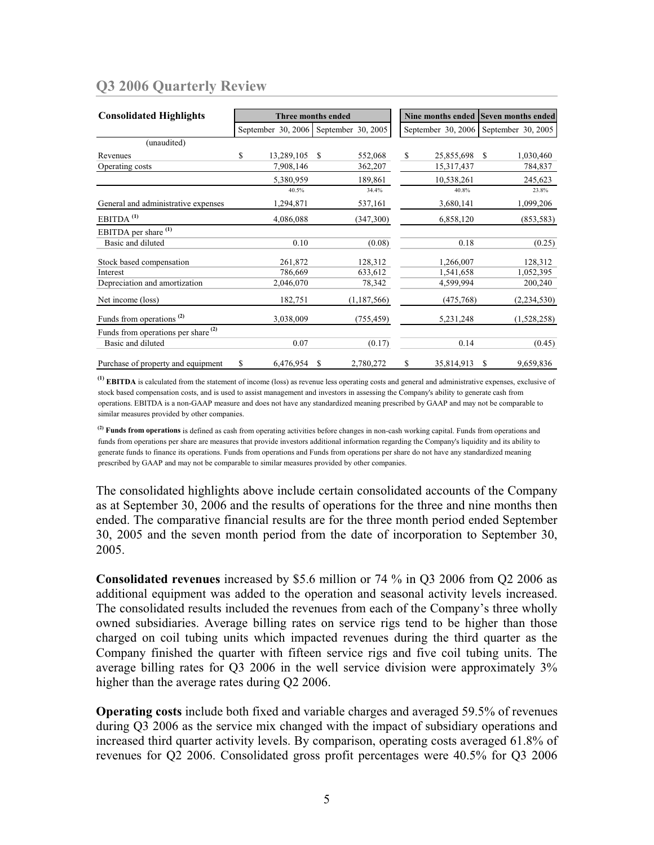## **Q3 2006 Quarterly Review**

| <b>Consolidated Highlights</b>           | <b>Three months ended</b> |                    |               |                    |    | Nine months ended  | <b>Seven months ended</b> |                    |  |
|------------------------------------------|---------------------------|--------------------|---------------|--------------------|----|--------------------|---------------------------|--------------------|--|
|                                          |                           | September 30, 2006 |               | September 30, 2005 |    | September 30, 2006 |                           | September 30, 2005 |  |
| (unaudited)                              |                           |                    |               |                    |    |                    |                           |                    |  |
| Revenues                                 | \$                        | 13,289,105         | <sup>\$</sup> | 552,068            | \$ | 25,855,698         | - \$                      | 1,030,460          |  |
| Operating costs                          |                           | 7,908,146          |               | 362,207            |    | 15,317,437         |                           | 784,837            |  |
|                                          |                           | 5,380,959          |               | 189,861            |    | 10,538,261         |                           | 245,623            |  |
|                                          |                           | 40.5%              |               | 34.4%              |    | 40.8%              |                           | 23.8%              |  |
| General and administrative expenses      |                           | 1,294,871          |               | 537,161            |    | 3,680,141          |                           | 1,099,206          |  |
| EBITDA <sup>(1)</sup>                    |                           | 4,086,088          |               | (347,300)          |    | 6,858,120          |                           | (853, 583)         |  |
| EBITDA per share <sup>(1)</sup>          |                           |                    |               |                    |    |                    |                           |                    |  |
| Basic and diluted                        |                           | 0.10               |               | (0.08)             |    | 0.18               |                           | (0.25)             |  |
| Stock based compensation                 |                           | 261,872            |               | 128,312            |    | 1,266,007          |                           | 128,312            |  |
| Interest                                 |                           | 786,669            |               | 633,612            |    | 1,541,658          |                           | 1,052,395          |  |
| Depreciation and amortization            |                           | 2,046,070          |               | 78,342             |    | 4,599,994          |                           | 200,240            |  |
| Net income (loss)                        |                           | 182,751            |               | (1,187,566)        |    | (475, 768)         |                           | (2,234,530)        |  |
| Funds from operations <sup>(2)</sup>     |                           | 3,038,009          |               | (755, 459)         |    | 5, 231, 248        |                           | (1,528,258)        |  |
| Funds from operations per share $^{(2)}$ |                           |                    |               |                    |    |                    |                           |                    |  |
| Basic and diluted                        |                           | 0.07               |               | (0.17)             |    | 0.14               |                           | (0.45)             |  |
| Purchase of property and equipment       | \$                        | 6,476,954          | S             | 2,780,272          | \$ | 35,814,913         | S                         | 9,659,836          |  |

**(1) EBITDA** is calculated from the statement of income (loss) as revenue less operating costs and general and administrative expenses, exclusive of stock based compensation costs, and is used to assist management and investors in assessing the Company's ability to generate cash from operations. EBITDA is a non-GAAP measure and does not have any standardized meaning prescribed by GAAP and may not be comparable to similar measures provided by other companies.

**(2) Funds from operations** is defined as cash from operating activities before changes in non-cash working capital. Funds from operations and funds from operations per share are measures that provide investors additional information regarding the Company's liquidity and its ability to generate funds to finance its operations. Funds from operations and Funds from operations per share do not have any standardized meaning prescribed by GAAP and may not be comparable to similar measures provided by other companies.

The consolidated highlights above include certain consolidated accounts of the Company as at September 30, 2006 and the results of operations for the three and nine months then ended. The comparative financial results are for the three month period ended September 30, 2005 and the seven month period from the date of incorporation to September 30, 2005.

**Consolidated revenues** increased by \$5.6 million or 74 % in Q3 2006 from Q2 2006 as additional equipment was added to the operation and seasonal activity levels increased. The consolidated results included the revenues from each of the Company's three wholly owned subsidiaries. Average billing rates on service rigs tend to be higher than those charged on coil tubing units which impacted revenues during the third quarter as the Company finished the quarter with fifteen service rigs and five coil tubing units. The average billing rates for Q3 2006 in the well service division were approximately 3% higher than the average rates during Q2 2006.

**Operating costs** include both fixed and variable charges and averaged 59.5% of revenues during Q3 2006 as the service mix changed with the impact of subsidiary operations and increased third quarter activity levels. By comparison, operating costs averaged 61.8% of revenues for Q2 2006. Consolidated gross profit percentages were 40.5% for Q3 2006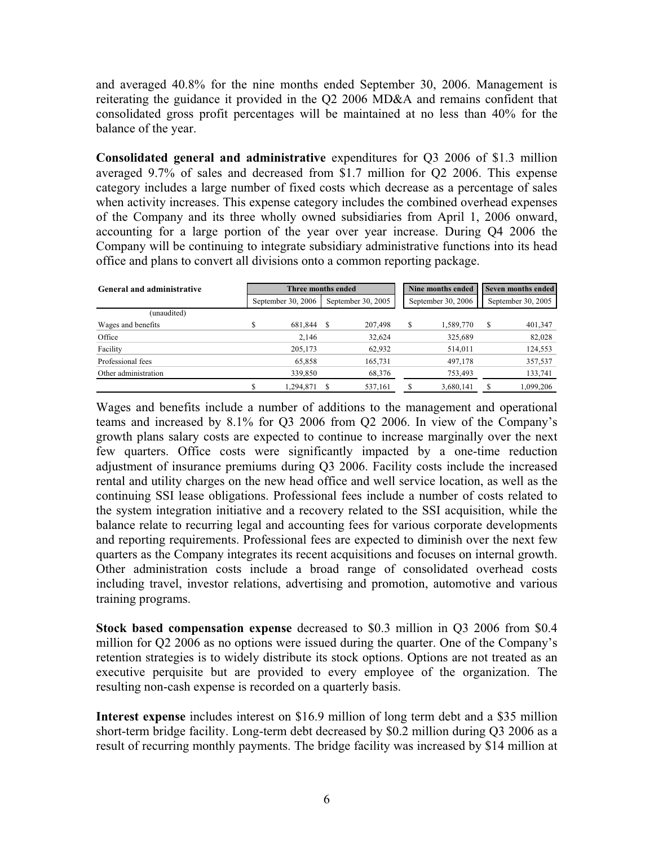and averaged 40.8% for the nine months ended September 30, 2006. Management is reiterating the guidance it provided in the Q2 2006 MD&A and remains confident that consolidated gross profit percentages will be maintained at no less than 40% for the balance of the year.

**Consolidated general and administrative** expenditures for Q3 2006 of \$1.3 million averaged 9.7% of sales and decreased from \$1.7 million for Q2 2006. This expense category includes a large number of fixed costs which decrease as a percentage of sales when activity increases. This expense category includes the combined overhead expenses of the Company and its three wholly owned subsidiaries from April 1, 2006 onward, accounting for a large portion of the year over year increase. During Q4 2006 the Company will be continuing to integrate subsidiary administrative functions into its head office and plans to convert all divisions onto a common reporting package.

| General and administrative |     | Three months ended |    |                    | Nine months ended | Seven months ended |   |                    |
|----------------------------|-----|--------------------|----|--------------------|-------------------|--------------------|---|--------------------|
|                            |     | September 30, 2006 |    | September 30, 2005 |                   | September 30, 2006 |   | September 30, 2005 |
| (unaudited)                |     |                    |    |                    |                   |                    |   |                    |
| Wages and benefits         | ۰D. | 681,844            | -S | 207,498            | S                 | 1,589,770          | S | 401,347            |
| Office                     |     | 2.146              |    | 32,624             |                   | 325,689            |   | 82,028             |
| Facility                   |     | 205,173            |    | 62,932             |                   | 514,011            |   | 124,553            |
| Professional fees          |     | 65,858             |    | 165,731            |                   | 497,178            |   | 357,537            |
| Other administration       |     | 339,850            |    | 68,376             |                   | 753,493            |   | 133,741            |
|                            | Ω   | 1.294.871          |    | 537,161            |                   | 3,680,141          |   | 1.099.206          |

Wages and benefits include a number of additions to the management and operational teams and increased by 8.1% for Q3 2006 from Q2 2006. In view of the Company's growth plans salary costs are expected to continue to increase marginally over the next few quarters. Office costs were significantly impacted by a one-time reduction adjustment of insurance premiums during Q3 2006. Facility costs include the increased rental and utility charges on the new head office and well service location, as well as the continuing SSI lease obligations. Professional fees include a number of costs related to the system integration initiative and a recovery related to the SSI acquisition, while the balance relate to recurring legal and accounting fees for various corporate developments and reporting requirements. Professional fees are expected to diminish over the next few quarters as the Company integrates its recent acquisitions and focuses on internal growth. Other administration costs include a broad range of consolidated overhead costs including travel, investor relations, advertising and promotion, automotive and various training programs.

**Stock based compensation expense** decreased to \$0.3 million in Q3 2006 from \$0.4 million for Q2 2006 as no options were issued during the quarter. One of the Company's retention strategies is to widely distribute its stock options. Options are not treated as an executive perquisite but are provided to every employee of the organization. The resulting non-cash expense is recorded on a quarterly basis.

**Interest expense** includes interest on \$16.9 million of long term debt and a \$35 million short-term bridge facility. Long-term debt decreased by \$0.2 million during Q3 2006 as a result of recurring monthly payments. The bridge facility was increased by \$14 million at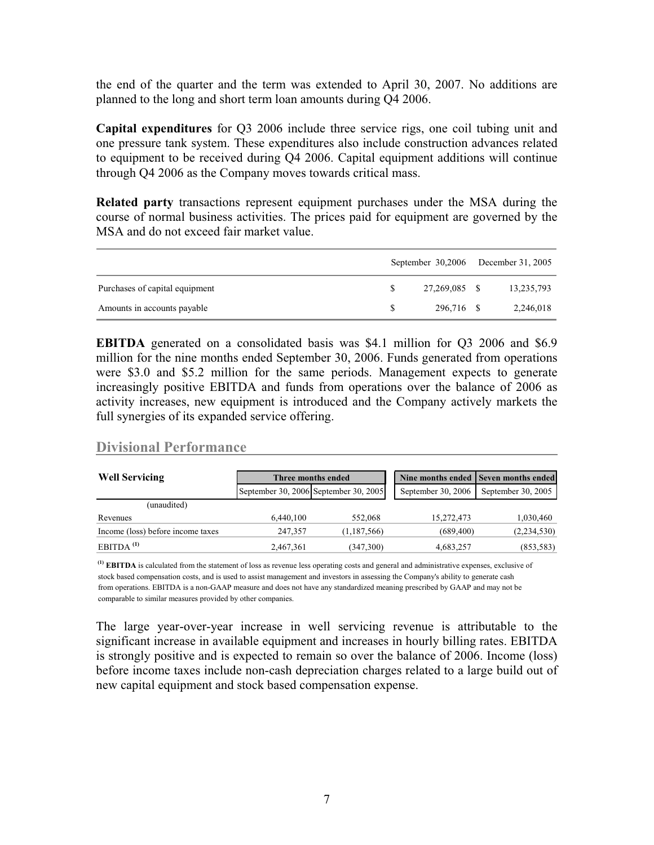the end of the quarter and the term was extended to April 30, 2007. No additions are planned to the long and short term loan amounts during Q4 2006.

**Capital expenditures** for Q3 2006 include three service rigs, one coil tubing unit and one pressure tank system. These expenditures also include construction advances related to equipment to be received during Q4 2006. Capital equipment additions will continue through Q4 2006 as the Company moves towards critical mass.

**Related party** transactions represent equipment purchases under the MSA during the course of normal business activities. The prices paid for equipment are governed by the MSA and do not exceed fair market value.

|                                |    |               | September 30,2006 December 31, 2005 |
|--------------------------------|----|---------------|-------------------------------------|
| Purchases of capital equipment |    | 27.269.085 \$ | 13,235,793                          |
| Amounts in accounts payable    | S. | 296.716 \$    | 2,246,018                           |

**EBITDA** generated on a consolidated basis was \$4.1 million for Q3 2006 and \$6.9 million for the nine months ended September 30, 2006. Funds generated from operations were \$3.0 and \$5.2 million for the same periods. Management expects to generate increasingly positive EBITDA and funds from operations over the balance of 2006 as activity increases, new equipment is introduced and the Company actively markets the full synergies of its expanded service offering.

### **Divisional Performance**

| <b>Well Servicing</b>             |           | Three months ended |  |                                       | Nine months ended Seven months ended |                    |                    |
|-----------------------------------|-----------|--------------------|--|---------------------------------------|--------------------------------------|--------------------|--------------------|
|                                   |           |                    |  | September 30, 2006 September 30, 2005 |                                      | September 30, 2006 | September 30, 2005 |
| (unaudited)                       |           |                    |  |                                       |                                      |                    |                    |
| Revenues                          | 6.440.100 | 552,068            |  | 15,272,473                            | 1,030,460                            |                    |                    |
| Income (loss) before income taxes | 247,357   | (1,187,566)        |  | (689, 400)                            | (2,234,530)                          |                    |                    |
| $EBITDA$ <sup>(1)</sup>           | 2,467,361 | (347,300)          |  | 4,683,257                             | (853, 583)                           |                    |                    |

**(1) EBITDA** is calculated from the statement of loss as revenue less operating costs and general and administrative expenses, exclusive of stock based compensation costs, and is used to assist management and investors in assessing the Company's ability to generate cash from operations. EBITDA is a non-GAAP measure and does not have any standardized meaning prescribed by GAAP and may not be comparable to similar measures provided by other companies.

The large year-over-year increase in well servicing revenue is attributable to the significant increase in available equipment and increases in hourly billing rates. EBITDA is strongly positive and is expected to remain so over the balance of 2006. Income (loss) before income taxes include non-cash depreciation charges related to a large build out of new capital equipment and stock based compensation expense.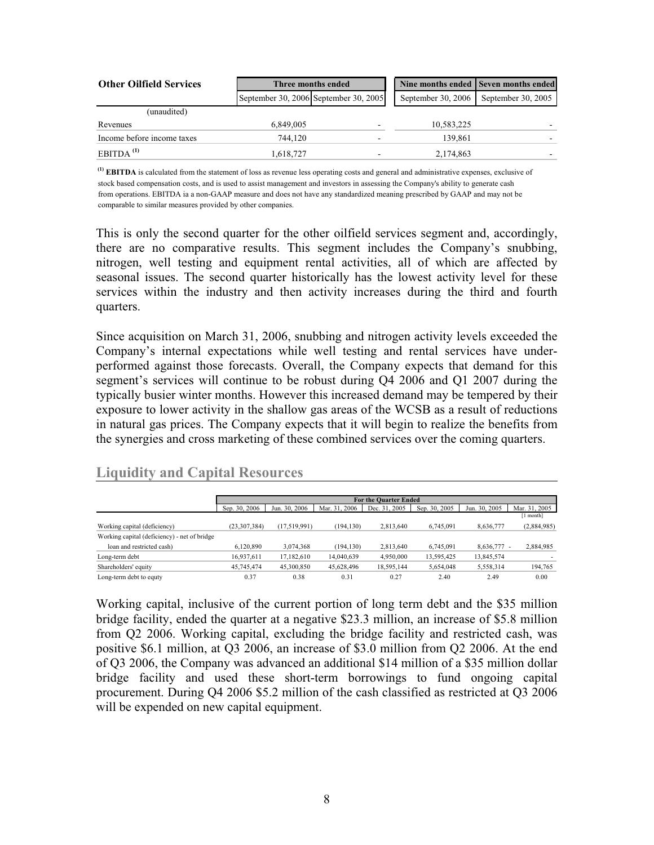| <b>Other Oilfield Services</b> | Three months ended |                                       |  |                    | Nine months ended Seven months ended |
|--------------------------------|--------------------|---------------------------------------|--|--------------------|--------------------------------------|
|                                |                    | September 30, 2006 September 30, 2005 |  | September 30, 2006 | September 30, 2005                   |
| (unaudited)                    |                    |                                       |  |                    |                                      |
| Revenues                       | 6,849,005          |                                       |  | 10,583,225         |                                      |
| Income before income taxes     | 744.120            |                                       |  | 139.861            |                                      |
| $EBITDA$ <sup>(1)</sup>        | 1,618,727          |                                       |  | 2,174,863          |                                      |

**(1) EBITDA** is calculated from the statement of loss as revenue less operating costs and general and administrative expenses, exclusive of stock based compensation costs, and is used to assist management and investors in assessing the Company's ability to generate cash from operations. EBITDA ia a non-GAAP measure and does not have any standardized meaning prescribed by GAAP and may not be comparable to similar measures provided by other companies.

This is only the second quarter for the other oilfield services segment and, accordingly, there are no comparative results. This segment includes the Company's snubbing, nitrogen, well testing and equipment rental activities, all of which are affected by seasonal issues. The second quarter historically has the lowest activity level for these services within the industry and then activity increases during the third and fourth quarters.

Since acquisition on March 31, 2006, snubbing and nitrogen activity levels exceeded the Company's internal expectations while well testing and rental services have underperformed against those forecasts. Overall, the Company expects that demand for this segment's services will continue to be robust during Q4 2006 and Q1 2007 during the typically busier winter months. However this increased demand may be tempered by their exposure to lower activity in the shallow gas areas of the WCSB as a result of reductions in natural gas prices. The Company expects that it will begin to realize the benefits from the synergies and cross marketing of these combined services over the coming quarters.

### **Liquidity and Capital Resources**

|                                              | <b>For the Ouarter Ended</b> |               |               |               |               |               |               |  |  |  |  |
|----------------------------------------------|------------------------------|---------------|---------------|---------------|---------------|---------------|---------------|--|--|--|--|
|                                              | Sep. 30, 2006                | Jun. 30, 2006 | Mar. 31, 2006 | Dec. 31, 2005 | Sep. 30, 2005 | Jun. 30, 2005 | Mar. 31, 2005 |  |  |  |  |
|                                              |                              |               |               |               |               |               | [1 month]     |  |  |  |  |
| Working capital (deficiency)                 | (23, 307, 384)               | (17,519,991)  | (194, 130)    | 2.813.640     | 6.745.091     | 8,636,777     | (2,884,985)   |  |  |  |  |
| Working capital (deficiency) - net of bridge |                              |               |               |               |               |               |               |  |  |  |  |
| loan and restricted cash)                    | 6,120,890                    | 3,074,368     | (194, 130)    | 2,813,640     | 6,745,091     | $8,636,777 -$ | 2,884,985     |  |  |  |  |
| Long-term debt                               | 16,937,611                   | 17,182,610    | 14,040,639    | 4,950,000     | 13,595,425    | 13,845,574    |               |  |  |  |  |
| Shareholders' equity                         | 45,745,474                   | 45,300,850    | 45,628,496    | 18,595,144    | 5,654,048     | 5,558,314     | 194,765       |  |  |  |  |
| Long-term debt to equty                      | 0.37                         | 0.38          | 0.31          | 0.27          | 2.40          | 2.49          | 0.00          |  |  |  |  |

Working capital, inclusive of the current portion of long term debt and the \$35 million bridge facility, ended the quarter at a negative \$23.3 million, an increase of \$5.8 million from Q2 2006. Working capital, excluding the bridge facility and restricted cash, was positive \$6.1 million, at Q3 2006, an increase of \$3.0 million from Q2 2006. At the end of Q3 2006, the Company was advanced an additional \$14 million of a \$35 million dollar bridge facility and used these short-term borrowings to fund ongoing capital procurement. During Q4 2006 \$5.2 million of the cash classified as restricted at Q3 2006 will be expended on new capital equipment.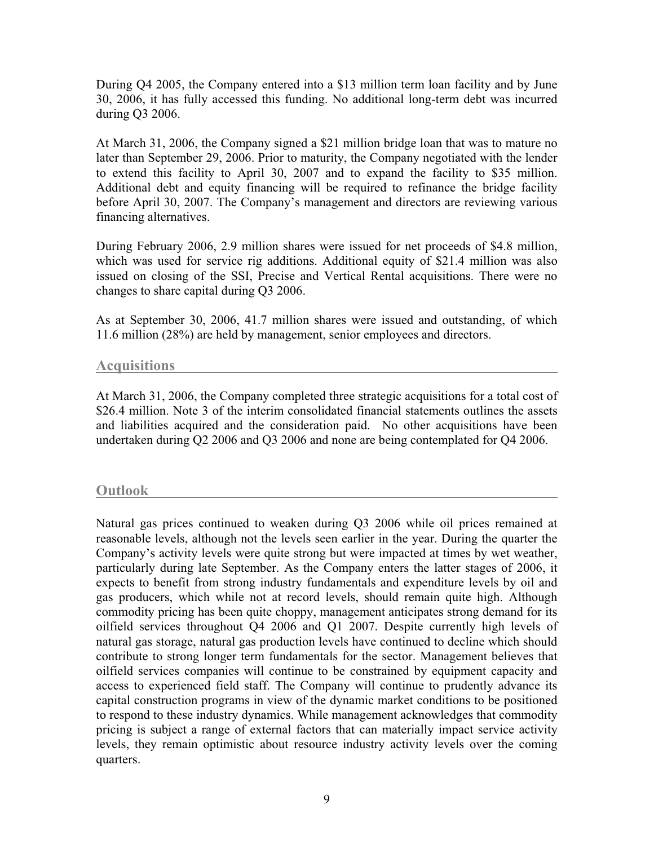During Q4 2005, the Company entered into a \$13 million term loan facility and by June 30, 2006, it has fully accessed this funding. No additional long-term debt was incurred during Q3 2006.

At March 31, 2006, the Company signed a \$21 million bridge loan that was to mature no later than September 29, 2006. Prior to maturity, the Company negotiated with the lender to extend this facility to April 30, 2007 and to expand the facility to \$35 million. Additional debt and equity financing will be required to refinance the bridge facility before April 30, 2007. The Company's management and directors are reviewing various financing alternatives.

During February 2006, 2.9 million shares were issued for net proceeds of \$4.8 million, which was used for service rig additions. Additional equity of \$21.4 million was also issued on closing of the SSI, Precise and Vertical Rental acquisitions. There were no changes to share capital during Q3 2006.

As at September 30, 2006, 41.7 million shares were issued and outstanding, of which 11.6 million (28%) are held by management, senior employees and directors.

### **Acquisitions**

At March 31, 2006, the Company completed three strategic acquisitions for a total cost of \$26.4 million. Note 3 of the interim consolidated financial statements outlines the assets and liabilities acquired and the consideration paid. No other acquisitions have been undertaken during Q2 2006 and Q3 2006 and none are being contemplated for Q4 2006.

### **Outlook**

Natural gas prices continued to weaken during Q3 2006 while oil prices remained at reasonable levels, although not the levels seen earlier in the year. During the quarter the Company's activity levels were quite strong but were impacted at times by wet weather, particularly during late September. As the Company enters the latter stages of 2006, it expects to benefit from strong industry fundamentals and expenditure levels by oil and gas producers, which while not at record levels, should remain quite high. Although commodity pricing has been quite choppy, management anticipates strong demand for its oilfield services throughout Q4 2006 and Q1 2007. Despite currently high levels of natural gas storage, natural gas production levels have continued to decline which should contribute to strong longer term fundamentals for the sector. Management believes that oilfield services companies will continue to be constrained by equipment capacity and access to experienced field staff. The Company will continue to prudently advance its capital construction programs in view of the dynamic market conditions to be positioned to respond to these industry dynamics. While management acknowledges that commodity pricing is subject a range of external factors that can materially impact service activity levels, they remain optimistic about resource industry activity levels over the coming quarters.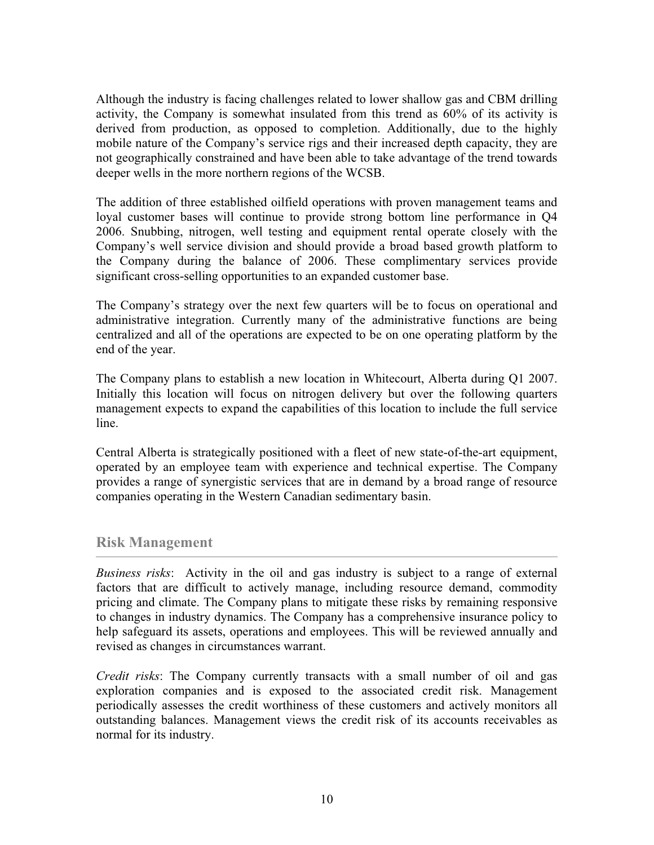Although the industry is facing challenges related to lower shallow gas and CBM drilling activity, the Company is somewhat insulated from this trend as 60% of its activity is derived from production, as opposed to completion. Additionally, due to the highly mobile nature of the Company's service rigs and their increased depth capacity, they are not geographically constrained and have been able to take advantage of the trend towards deeper wells in the more northern regions of the WCSB.

The addition of three established oilfield operations with proven management teams and loyal customer bases will continue to provide strong bottom line performance in Q4 2006. Snubbing, nitrogen, well testing and equipment rental operate closely with the Company's well service division and should provide a broad based growth platform to the Company during the balance of 2006. These complimentary services provide significant cross-selling opportunities to an expanded customer base.

The Company's strategy over the next few quarters will be to focus on operational and administrative integration. Currently many of the administrative functions are being centralized and all of the operations are expected to be on one operating platform by the end of the year.

The Company plans to establish a new location in Whitecourt, Alberta during Q1 2007. Initially this location will focus on nitrogen delivery but over the following quarters management expects to expand the capabilities of this location to include the full service line.

Central Alberta is strategically positioned with a fleet of new state-of-the-art equipment, operated by an employee team with experience and technical expertise. The Company provides a range of synergistic services that are in demand by a broad range of resource companies operating in the Western Canadian sedimentary basin.

### **Risk Management**

*Business risks*: Activity in the oil and gas industry is subject to a range of external factors that are difficult to actively manage, including resource demand, commodity pricing and climate. The Company plans to mitigate these risks by remaining responsive to changes in industry dynamics. The Company has a comprehensive insurance policy to help safeguard its assets, operations and employees. This will be reviewed annually and revised as changes in circumstances warrant.

*Credit risks*: The Company currently transacts with a small number of oil and gas exploration companies and is exposed to the associated credit risk. Management periodically assesses the credit worthiness of these customers and actively monitors all outstanding balances. Management views the credit risk of its accounts receivables as normal for its industry.